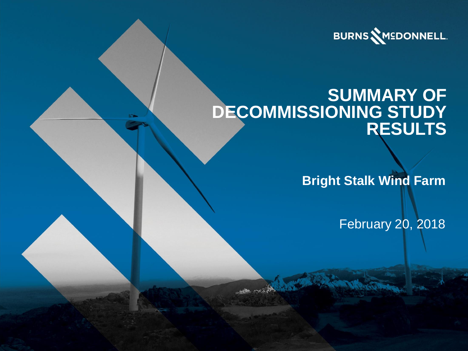

### **SUMMARY OF DECOMMISSIONING STUDY RESULTS**

**Bright Stalk Wind Farm**

February 20, 2018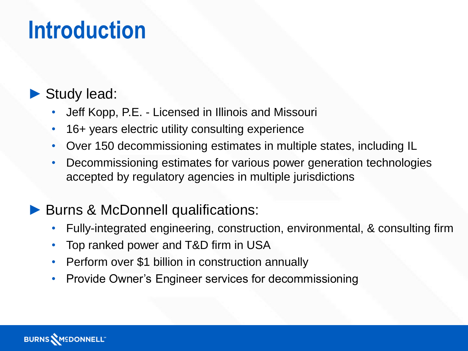## **Introduction**

### ► Study lead:

- Jeff Kopp, P.E. Licensed in Illinois and Missouri
- 16+ years electric utility consulting experience
- Over 150 decommissioning estimates in multiple states, including IL
- Decommissioning estimates for various power generation technologies accepted by regulatory agencies in multiple jurisdictions

### Burns & McDonnell qualifications:

- Fully-integrated engineering, construction, environmental, & consulting firm
- Top ranked power and T&D firm in USA
- Perform over \$1 billion in construction annually
- Provide Owner's Engineer services for decommissioning

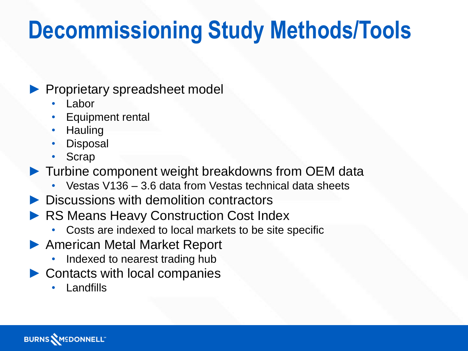# **Decommissioning Study Methods/Tools**

#### ► Proprietary spreadsheet model

- **Labor**
- Equipment rental
- Hauling
- **Disposal**
- **Scrap**
- ► Turbine component weight breakdowns from OEM data
	- Vestas V136 3.6 data from Vestas technical data sheets
- ► Discussions with demolition contractors
- **RS Means Heavy Construction Cost Index** 
	- Costs are indexed to local markets to be site specific
- ▶ American Metal Market Report
	- Indexed to nearest trading hub
- ▶ Contacts with local companies
	- Landfills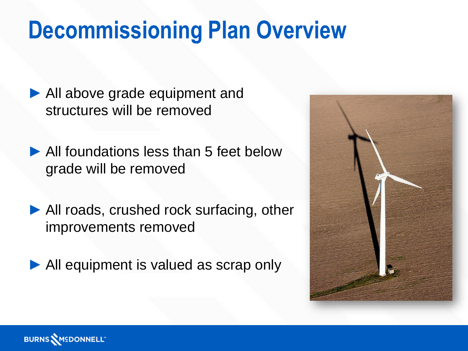# **Decommissioning Plan Overview**

► All above grade equipment and structures will be removed

▶ All foundations less than 5 feet below grade will be removed

▶ All roads, crushed rock surfacing, other improvements removed

All equipment is valued as scrap only



**BURNS MEDONNELL"**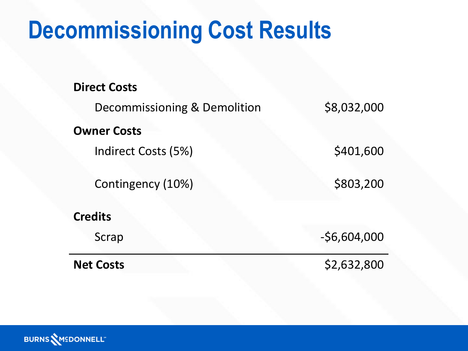# **Decommissioning Cost Results**

| <b>Net Costs</b>             | \$2,632,800   |
|------------------------------|---------------|
| Scrap                        | $-56,604,000$ |
| <b>Credits</b>               |               |
| Contingency (10%)            | \$803,200     |
| Indirect Costs (5%)          | \$401,600     |
| <b>Owner Costs</b>           |               |
| Decommissioning & Demolition | \$8,032,000   |
| <b>Direct Costs</b>          |               |